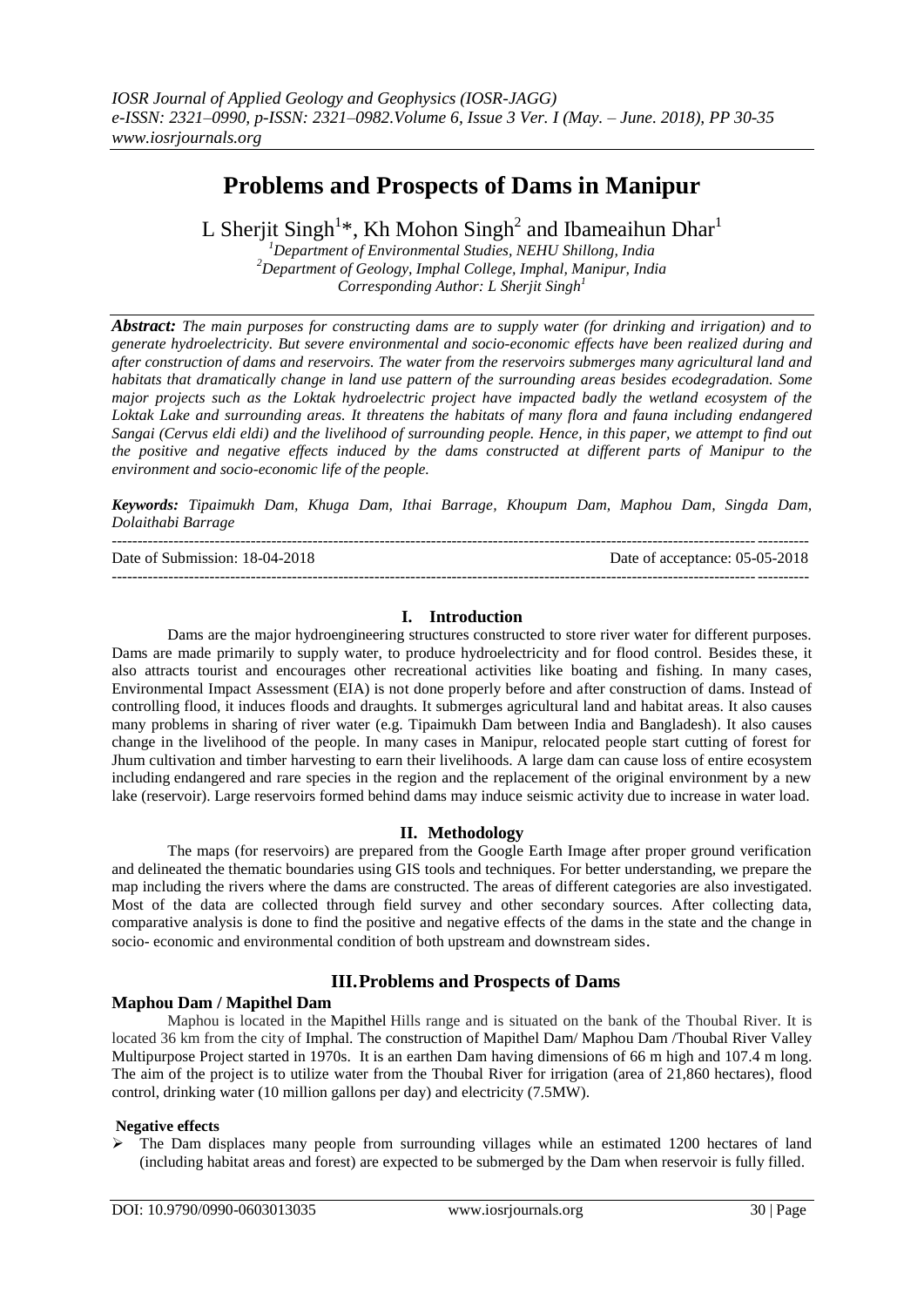# **Problems and Prospects of Dams in Manipur**

L Sherjit Singh<sup>1\*</sup>, Kh Mohon Singh<sup>2</sup> and Ibameaihun Dhar<sup>1</sup>

*<sup>1</sup>Department of Environmental Studies, NEHU Shillong, India <sup>2</sup>Department of Geology, Imphal College, Imphal, Manipur, India Corresponding Author: L Sherjit Singh<sup>1</sup>*

*Abstract: The main purposes for constructing dams are to supply water (for drinking and irrigation) and to generate hydroelectricity. But severe environmental and socio-economic effects have been realized during and after construction of dams and reservoirs. The water from the reservoirs submerges many agricultural land and habitats that dramatically change in land use pattern of the surrounding areas besides ecodegradation. Some major projects such as the Loktak hydroelectric project have impacted badly the wetland ecosystem of the Loktak Lake and surrounding areas. It threatens the habitats of many flora and fauna including endangered Sangai (Cervus eldi eldi) and the livelihood of surrounding people. Hence, in this paper, we attempt to find out the positive and negative effects induced by the dams constructed at different parts of Manipur to the environment and socio-economic life of the people.*

*Keywords: Tipaimukh Dam, Khuga Dam, Ithai Barrage, Khoupum Dam, Maphou Dam, Singda Dam, Dolaithabi Barrage*

| Date of Submission: 18-04-2018 | Date of acceptance: 05-05-2018 |
|--------------------------------|--------------------------------|
|                                |                                |

### **I. Introduction**

Dams are the major hydroengineering structures constructed to store river water for different purposes. Dams are made primarily to supply water, to produce hydroelectricity and for flood control. Besides these, it also attracts tourist and encourages other recreational activities like boating and fishing. In many cases, Environmental Impact Assessment (EIA) is not done properly before and after construction of dams. Instead of controlling flood, it induces floods and draughts. It submerges agricultural land and habitat areas. It also causes many problems in sharing of river water (e.g. Tipaimukh Dam between India and Bangladesh). It also causes change in the livelihood of the people. In many cases in Manipur, relocated people start cutting of forest for Jhum cultivation and timber harvesting to earn their livelihoods. A large dam can cause loss of entire ecosystem including endangered and rare species in the region and the replacement of the original environment by a new lake (reservoir). Large reservoirs formed behind dams may induce seismic activity due to increase in water load.

# **II. Methodology**

The maps (for reservoirs) are prepared from the Google Earth Image after proper ground verification and delineated the thematic boundaries using GIS tools and techniques. For better understanding, we prepare the map including the rivers where the dams are constructed. The areas of different categories are also investigated. Most of the data are collected through field survey and other secondary sources. After collecting data, comparative analysis is done to find the positive and negative effects of the dams in the state and the change in socio- economic and environmental condition of both upstream and downstream sides.

# **III.Problems and Prospects of Dams**

# **Maphou Dam / Mapithel Dam**

Maphou is located in the Mapithel Hills range and is situated on the bank of the Thoubal River. It is located 36 km from the city of Imphal. The construction of Mapithel Dam/ Maphou Dam /Thoubal River Valley Multipurpose Project started in 1970s. It is an earthen Dam having dimensions of 66 m high and 107.4 m long. The aim of the project is to utilize water from the Thoubal River for irrigation (area of 21,860 hectares), flood control, drinking water (10 million gallons per day) and electricity (7.5MW).

#### **Negative effects**

 The Dam displaces many people from surrounding villages while an estimated 1200 hectares of land (including habitat areas and forest) are expected to be submerged by the Dam when reservoir is fully filled.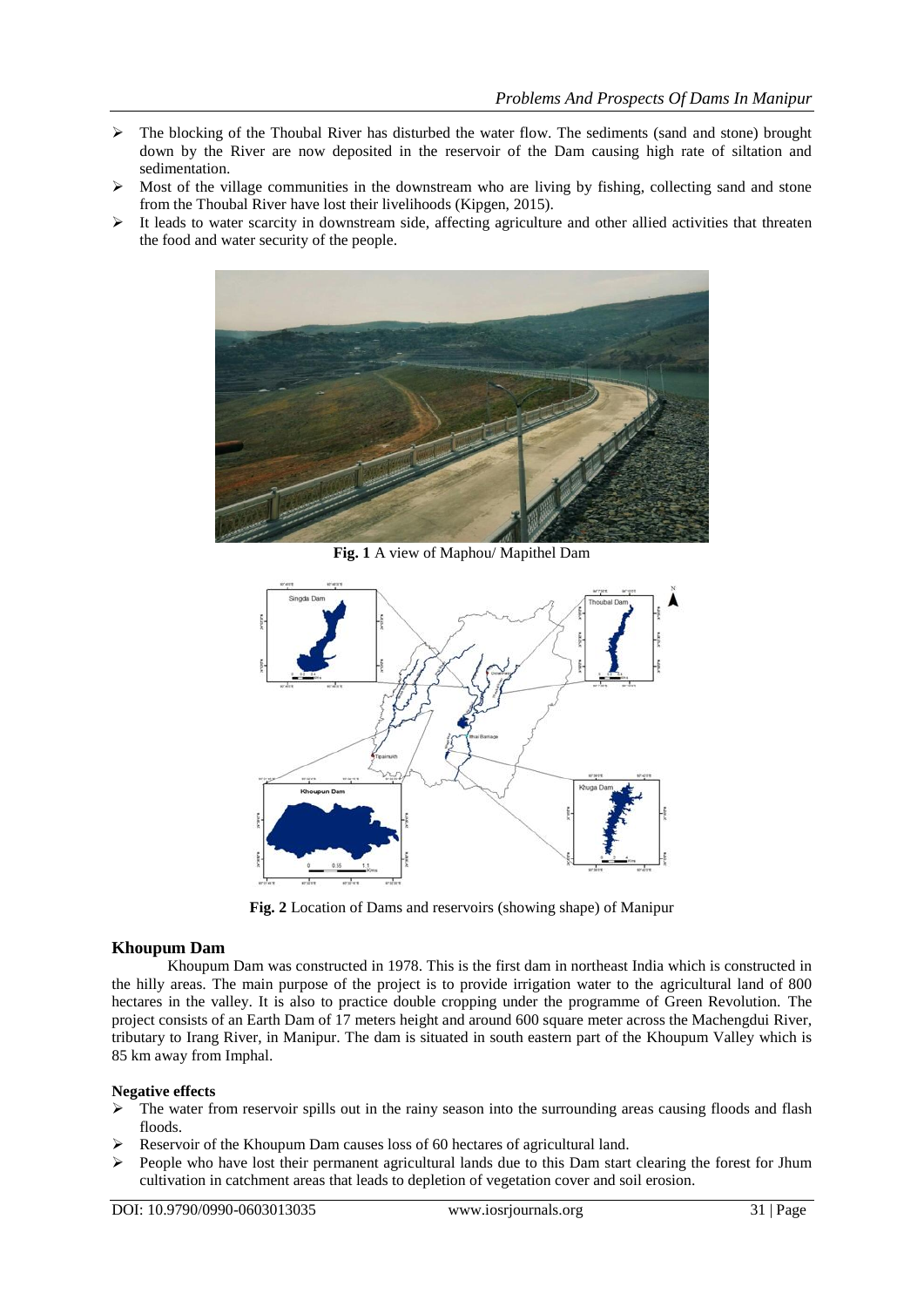- $\triangleright$  The blocking of the Thoubal River has disturbed the water flow. The sediments (sand and stone) brought down by the River are now deposited in the reservoir of the Dam causing high rate of siltation and sedimentation.
- $\triangleright$  Most of the village communities in the downstream who are living by fishing, collecting sand and stone from the Thoubal River have lost their livelihoods (Kipgen, 2015).
- $\triangleright$  It leads to water scarcity in downstream side, affecting agriculture and other allied activities that threaten the food and water security of the people.



**Fig. 1** A view of Maphou/ Mapithel Dam



**Fig. 2** Location of Dams and reservoirs (showing shape) of Manipur

#### **Khoupum Dam**

Khoupum Dam was constructed in 1978. This is the first dam in northeast India which is constructed in the hilly areas. The main purpose of the project is to provide irrigation water to the agricultural land of 800 hectares in the valley. It is also to practice double cropping under the programme of Green Revolution. The project consists of an Earth Dam of 17 meters height and around 600 square meter across the Machengdui River, tributary to Irang River, in Manipur. The dam is situated in south eastern part of the Khoupum Valley which is 85 km away from Imphal.

#### **Negative effects**

- $\triangleright$  The water from reservoir spills out in the rainy season into the surrounding areas causing floods and flash floods.
- Reservoir of the Khoupum Dam causes loss of 60 hectares of agricultural land.
- $\triangleright$  People who have lost their permanent agricultural lands due to this Dam start clearing the forest for Jhum cultivation in catchment areas that leads to depletion of vegetation cover and soil erosion.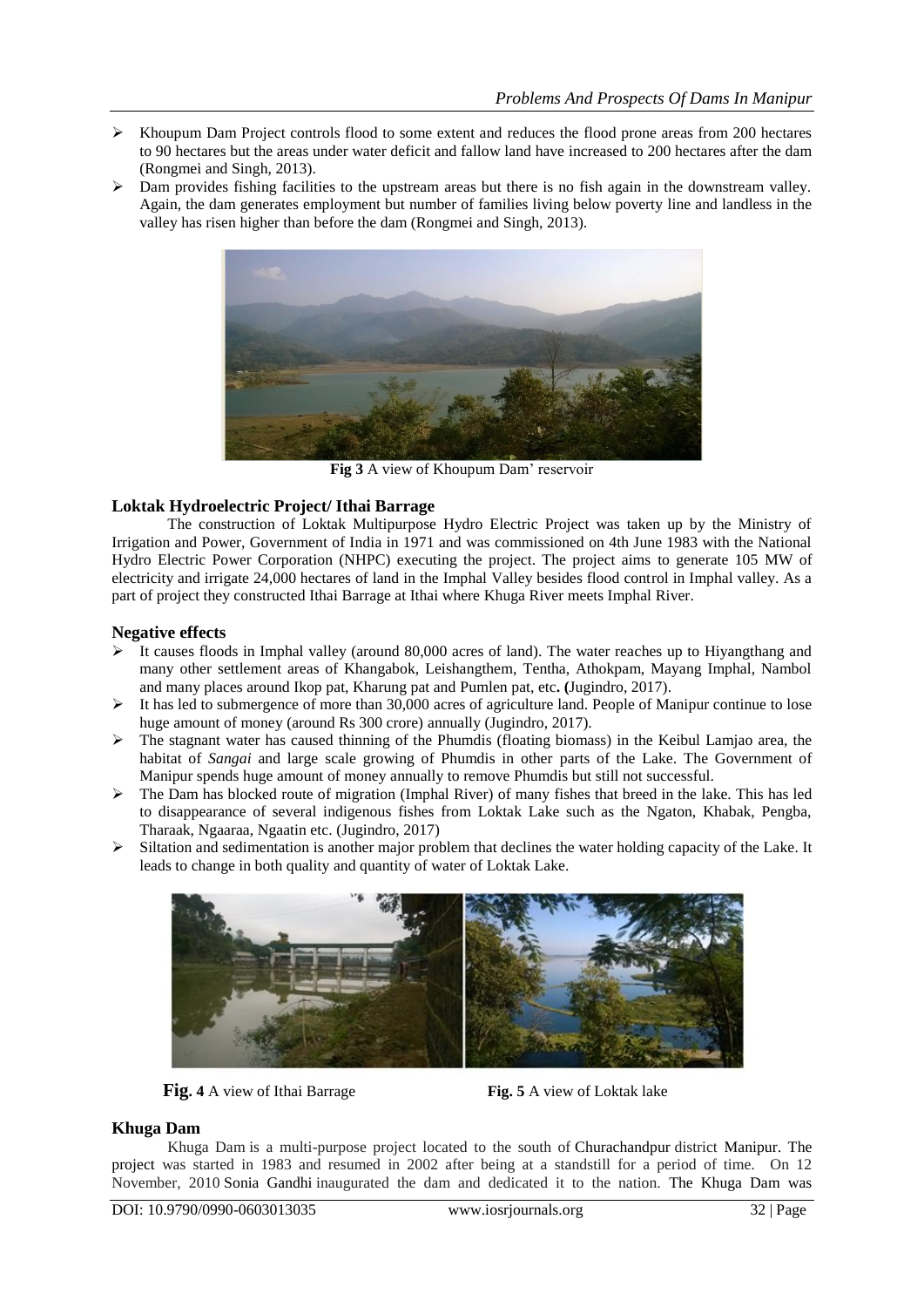- $\triangleright$  Khoupum Dam Project controls flood to some extent and reduces the flood prone areas from 200 hectares to 90 hectares but the areas under water deficit and fallow land have increased to 200 hectares after the dam (Rongmei and Singh, 2013).
- $\triangleright$  Dam provides fishing facilities to the upstream areas but there is no fish again in the downstream valley. Again, the dam generates employment but number of families living below poverty line and landless in the valley has risen higher than before the dam (Rongmei and Singh, 2013).



**Fig 3** A view of Khoupum Dam' reservoir

#### **Loktak Hydroelectric Project/ Ithai Barrage**

The construction of Loktak Multipurpose Hydro Electric Project was taken up by the Ministry of Irrigation and Power, Government of India in 1971 and was commissioned on 4th June 1983 with the National Hydro Electric Power Corporation (NHPC) executing the project. The project aims to generate 105 MW of electricity and irrigate 24,000 hectares of land in the Imphal Valley besides flood control in Imphal valley. As a part of project they constructed Ithai Barrage at Ithai where Khuga River meets Imphal River.

#### **Negative effects**

- $\triangleright$  It causes floods in Imphal valley (around 80,000 acres of land). The water reaches up to Hiyangthang and many other settlement areas of Khangabok, Leishangthem, Tentha, Athokpam, Mayang Imphal, Nambol and many places around Ikop pat, Kharung pat and Pumlen pat, etc**. (**Jugindro, 2017).
- $\triangleright$  It has led to submergence of more than 30,000 acres of agriculture land. People of Manipur continue to lose huge amount of money (around Rs 300 crore) annually (Jugindro, 2017).
- $\triangleright$  The stagnant water has caused thinning of the Phumdis (floating biomass) in the Keibul Lamiao area, the habitat of *Sangai* and large scale growing of Phumdis in other parts of the Lake. The Government of Manipur spends huge amount of money annually to remove Phumdis but still not successful.
- The Dam has blocked route of migration (Imphal River) of many fishes that breed in the lake. This has led to disappearance of several indigenous fishes from Loktak Lake such as the Ngaton, Khabak, Pengba, Tharaak, Ngaaraa, Ngaatin etc. (Jugindro, 2017)
- $\triangleright$  Siltation and sedimentation is another major problem that declines the water holding capacity of the Lake. It leads to change in both quality and quantity of water of Loktak Lake.



**Fig. 4** A view of Ithai Barrage **Fig. 5** A view of Loktak lake

# **Khuga Dam**

Khuga Dam is a multi-purpose project located to the south of Churachandpur district Manipur. The project was started in 1983 and resumed in 2002 after being at a standstill for a period of time. On 12 November, 2010 Sonia Gandhi inaugurated the dam and dedicated it to the nation. The Khuga Dam was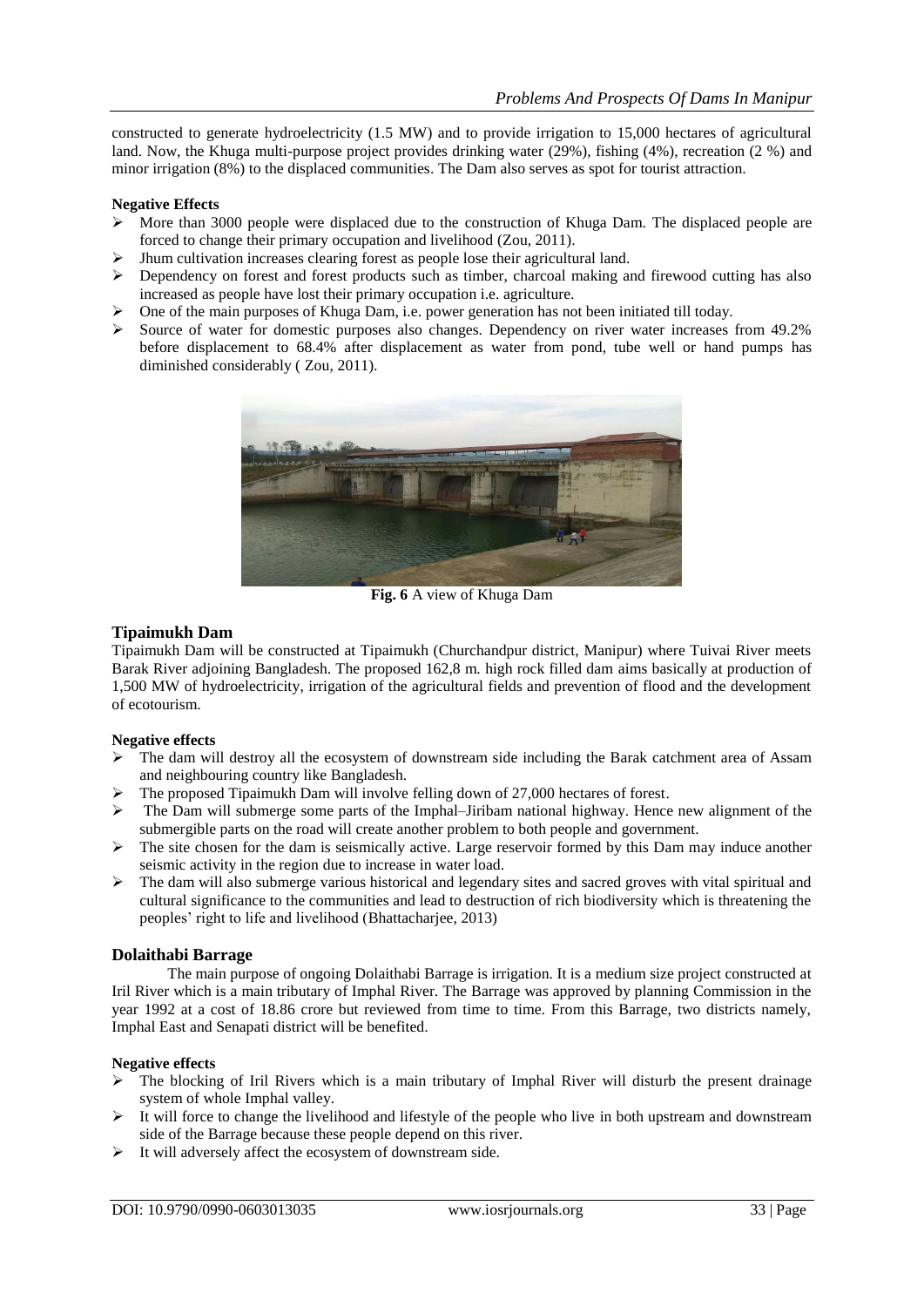constructed to generate hydroelectricity (1.5 MW) and to provide irrigation to 15,000 hectares of agricultural land. Now, the Khuga multi-purpose project provides drinking water (29%), fishing (4%), recreation (2 %) and minor irrigation (8%) to the displaced communities. The Dam also serves as spot for tourist attraction.

#### **Negative Effects**

- $\triangleright$  More than 3000 people were displaced due to the construction of Khuga Dam. The displaced people are forced to change their primary occupation and livelihood (Zou, 2011).
- Jhum cultivation increases clearing forest as people lose their agricultural land.
- Dependency on forest and forest products such as timber, charcoal making and firewood cutting has also increased as people have lost their primary occupation i.e. agriculture.
- $\triangleright$  One of the main purposes of Khuga Dam, i.e. power generation has not been initiated till today.
- Source of water for domestic purposes also changes. Dependency on river water increases from 49.2% before displacement to 68.4% after displacement as water from pond, tube well or hand pumps has diminished considerably ( Zou, 2011).



**Fig. 6** A view of Khuga Dam

#### **Tipaimukh Dam**

Tipaimukh Dam will be constructed at Tipaimukh (Churchandpur district, Manipur) where Tuivai River meets Barak River adjoining Bangladesh. The proposed 162,8 m. high rock filled dam aims basically at production of 1,500 MW of hydroelectricity, irrigation of the agricultural fields and prevention of flood and the development of ecotourism.

#### **Negative effects**

- $\triangleright$  The dam will destroy all the ecosystem of downstream side including the Barak catchment area of Assam and neighbouring country like Bangladesh.
- The proposed Tipaimukh Dam will involve felling down of 27,000 hectares of forest.
- $\triangleright$  The Dam will submerge some parts of the Imphal–Jiribam national highway. Hence new alignment of the submergible parts on the road will create another problem to both people and government.
- $\triangleright$  The site chosen for the dam is seismically active. Large reservoir formed by this Dam may induce another seismic activity in the region due to increase in water load.
- $\triangleright$  The dam will also submerge various historical and legendary sites and sacred groves with vital spiritual and cultural significance to the communities and lead to destruction of rich biodiversity which is threatening the peoples' right to life and livelihood (Bhattacharjee, 2013)

#### **Dolaithabi Barrage**

The main purpose of ongoing Dolaithabi Barrage is irrigation. It is a medium size project constructed at Iril River which is a main tributary of Imphal River. The Barrage was approved by planning Commission in the year 1992 at a cost of 18.86 crore but reviewed from time to time. From this Barrage, two districts namely, Imphal East and Senapati district will be benefited.

#### **Negative effects**

- The blocking of Iril Rivers which is a main tributary of Imphal River will disturb the present drainage system of whole Imphal valley.
- $\triangleright$  It will force to change the livelihood and lifestyle of the people who live in both upstream and downstream side of the Barrage because these people depend on this river.
- $\triangleright$  It will adversely affect the ecosystem of downstream side.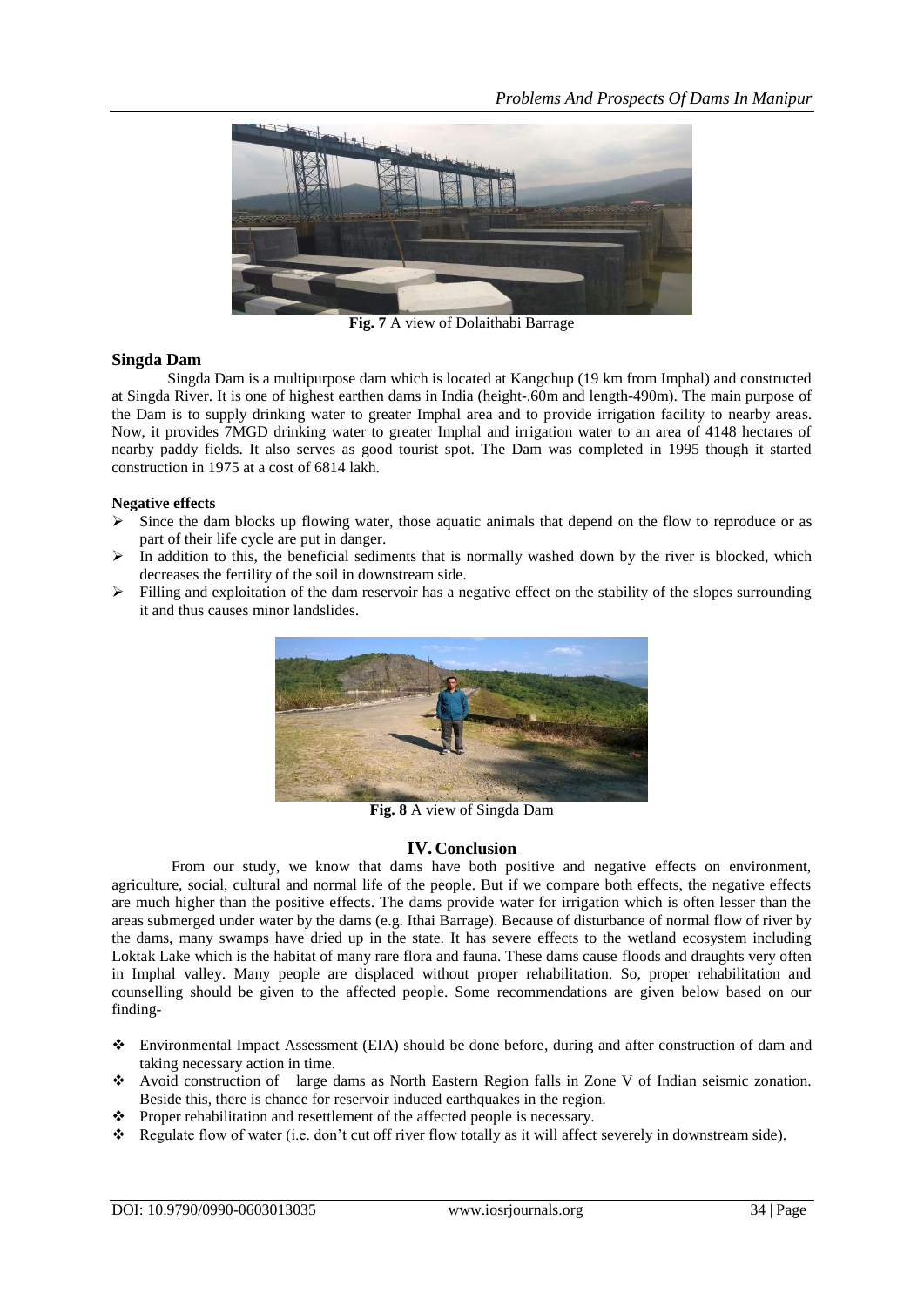

**Fig. 7** A view of Dolaithabi Barrage

#### **Singda Dam**

Singda Dam is a multipurpose dam which is located at Kangchup (19 km from Imphal) and constructed at Singda River. It is one of highest earthen dams in India (height-.60m and length-490m). The main purpose of the Dam is to supply drinking water to greater Imphal area and to provide irrigation facility to nearby areas. Now, it provides 7MGD drinking water to greater Imphal and irrigation water to an area of 4148 hectares of nearby paddy fields. It also serves as good tourist spot. The Dam was completed in 1995 though it started construction in 1975 at a cost of 6814 lakh.

#### **Negative effects**

- $\triangleright$  Since the dam blocks up flowing water, those aquatic animals that depend on the flow to reproduce or as part of their life cycle are put in danger.
- $\triangleright$  In addition to this, the beneficial sediments that is normally washed down by the river is blocked, which decreases the fertility of the soil in downstream side.
- $\triangleright$  Filling and exploitation of the dam reservoir has a negative effect on the stability of the slopes surrounding it and thus causes minor landslides.



**Fig. 8** A view of Singda Dam

#### **IV. Conclusion**

From our study, we know that dams have both positive and negative effects on environment, agriculture, social, cultural and normal life of the people. But if we compare both effects, the negative effects are much higher than the positive effects. The dams provide water for irrigation which is often lesser than the areas submerged under water by the dams (e.g. Ithai Barrage). Because of disturbance of normal flow of river by the dams, many swamps have dried up in the state. It has severe effects to the wetland ecosystem including Loktak Lake which is the habitat of many rare flora and fauna. These dams cause floods and draughts very often in Imphal valley. Many people are displaced without proper rehabilitation. So, proper rehabilitation and counselling should be given to the affected people. Some recommendations are given below based on our finding-

- Environmental Impact Assessment (EIA) should be done before, during and after construction of dam and taking necessary action in time.
- Avoid construction of large dams as North Eastern Region falls in Zone V of Indian seismic zonation. Beside this, there is chance for reservoir induced earthquakes in the region.
- $\triangle$  Proper rehabilitation and resettlement of the affected people is necessary.
- \* Regulate flow of water (i.e. don't cut off river flow totally as it will affect severely in downstream side).